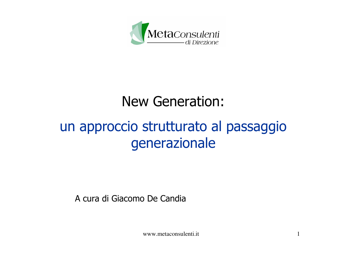

## **New Generation:**

## un approccio strutturato al passaggio generazionale

A cura di Giacomo De Candia

www.metaconsulenti.it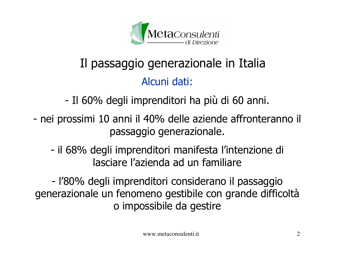

## Il passaggio generazionale in Italia Alcuni dati:

- Il 60% degli imprenditori ha più di 60 anni.

- nei prossimi 10 anni il 40% delle aziende affronteranno il passaggio generazionale.

- il 68% degli imprenditori manifesta l'intenzione di lasciare l'azienda ad un familiare

- l'80% degli imprenditori considerano il passaggio generazionale un fenomeno gestibile con grande difficoltà o impossibile da gestire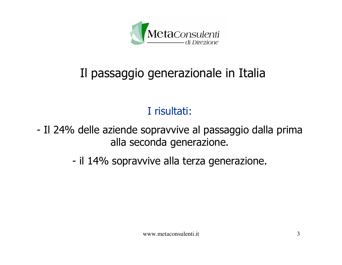

## Il passaggio generazionale in Italia

### I risultati:

- Il 24% delle aziende sopravvive al passaggio dalla prima alla seconda generazione.

- il 14% sopravvive alla terza generazione.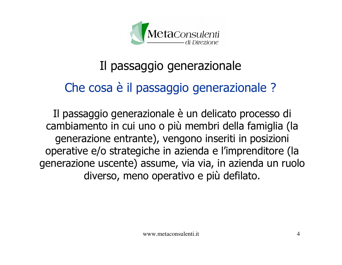

## Il passaggio generazionale Che cosa è il passaggio generazionale ?

Il passaggio generazionale è un delicato processo di cambiamento in cui uno o più membri della famiglia (la generazione entrante), vengono inseriti in posizioni operative e/o strategiche in azienda e l'imprenditore (la generazione uscente) assume, via via, in azienda un ruolo diverso, meno operativo e più defilato.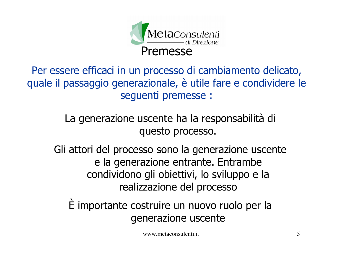

Per essere efficaci in un processo di cambiamento delicato, quale il passaggio generazionale, è utile fare e condividere le sequenti premesse :

> La generazione uscente ha la responsabilità di questo processo.

Gli attori del processo sono la generazione uscente e la generazione entrante. Entrambe condividono gli obiettivi, lo sviluppo e la realizzazione del processo

È importante costruire un nuovo ruolo per la generazione uscente

www.metaconsulenti.it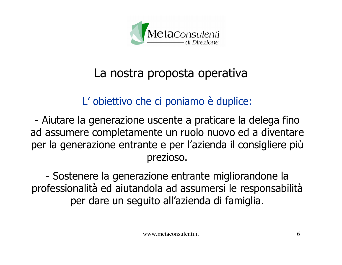

### La nostra proposta operativa

### L'obiettivo che ci poniamo è duplice:

- Aiutare la generazione uscente a praticare la delega fino ad assumere completamente un ruolo nuovo ed a diventare per la generazione entrante e per l'azienda il consigliere più prezioso.

- Sostenere la generazione entrante migliorandone la professionalità ed aiutandola ad assumersi le responsabilità per dare un seguito all'azienda di famiglia.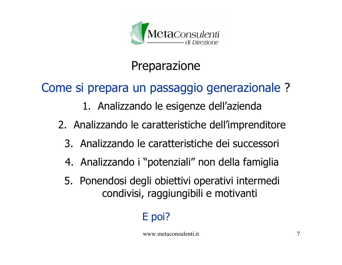

### Preparazione

### Come si prepara un passaggio generazionale ?

- 1. Analizzando le esigenze dell'azienda
- 2. Analizzando le caratteristiche dell'imprenditore
	- 3. Analizzando le caratteristiche dei successori
	- 4. Analizzando i "potenziali" non della famiglia
	- 5. Ponendosi degli obiettivi operativi intermedi condivisi, raggiungibili e motivanti

### E poi?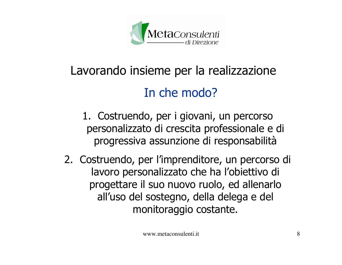

# Lavorando insieme per la realizzazione In che modo?

- 1. Costruendo, per i giovani, un percorso personalizzato di crescita professionale e di progressiva assunzione di responsabilità
- 2. Costruendo, per l'imprenditore, un percorso di lavoro personalizzato che ha l'obiettivo di progettare il suo nuovo ruolo, ed allenarlo all'uso del sostegno, della delega e del monitoraggio costante.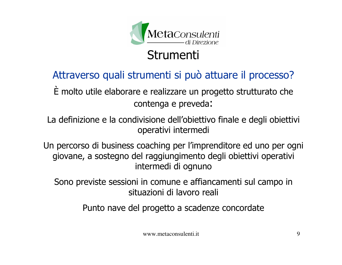

#### Strumenti

#### Attraverso quali strumenti si può attuare il processo?

È molto utile elaborare e realizzare un progetto strutturato che contenga e preveda:

- La definizione e la condivisione dell'obiettivo finale e degli obiettivi operativi intermedi
- Un percorso di business coaching per l'imprenditore ed uno per ogni giovane, a sostegno del raggiungimento degli obiettivi operativi intermedi di ognuno

Sono previste sessioni in comune e affiancamenti sul campo in situazioni di lavoro reali

Punto nave del progetto a scadenze concordate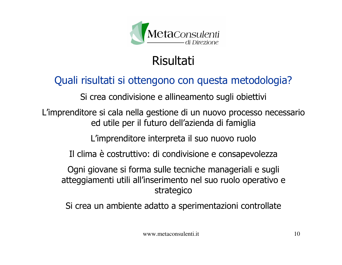

### **Risultati**

#### Quali risultati si ottengono con questa metodologia?

Si crea condivisione e allineamento sugli obiettivi

L'imprenditore si cala nella gestione di un nuovo processo necessario ed utile per il futuro dell'azienda di famiglia

L'imprenditore interpreta il suo nuovo ruolo

Il clima è costruttivo: di condivisione e consapevolezza

Ogni giovane si forma sulle tecniche manageriali e sugli atteggiamenti utili all'inserimento nel suo ruolo operativo e strategico

Si crea un ambiente adatto a sperimentazioni controllate